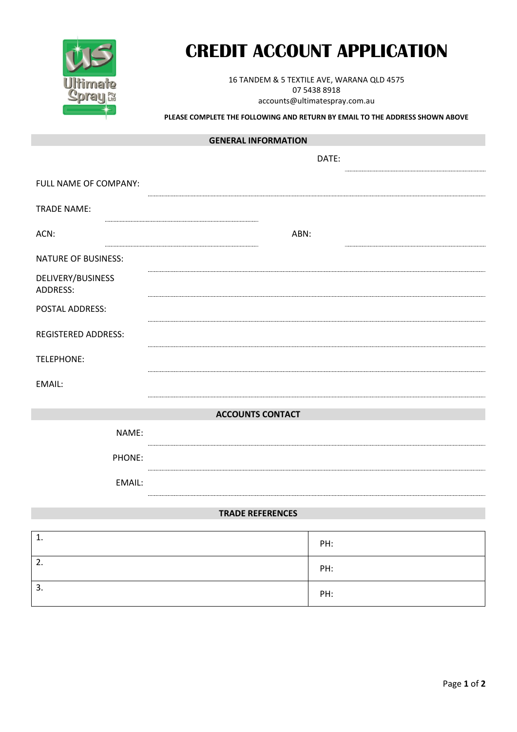

# **CREDIT ACCOUNT APPLICATION**

16 TANDEM & 5 TEXTILE AVE, WARANA QLD 4575 07 5438 8918 accounts@ultimatespray.com.au

#### **PLEASE COMPLETE THE FOLLOWING AND RETURN BY EMAIL TO THE ADDRESS SHOWN ABOVE**

## **GENERAL INFORMATION**

|                                      | DATE: |  |
|--------------------------------------|-------|--|
| FULL NAME OF COMPANY:                |       |  |
| <b>TRADE NAME:</b>                   |       |  |
| ACN:                                 | ABN:  |  |
| <b>NATURE OF BUSINESS:</b>           |       |  |
| DELIVERY/BUSINESS<br><b>ADDRESS:</b> |       |  |
| POSTAL ADDRESS:                      |       |  |
| <b>REGISTERED ADDRESS:</b>           |       |  |
| TELEPHONE:                           |       |  |
| EMAIL:                               |       |  |
| <b>ACCOUNTS CONTACT</b>              |       |  |
| NAME:                                |       |  |
| PHONE:                               |       |  |
| EMAIL:                               |       |  |

## **TRADE REFERENCES**

| ᆠ. | PH: |
|----|-----|
| 2. | PH: |
| 3. | PH: |